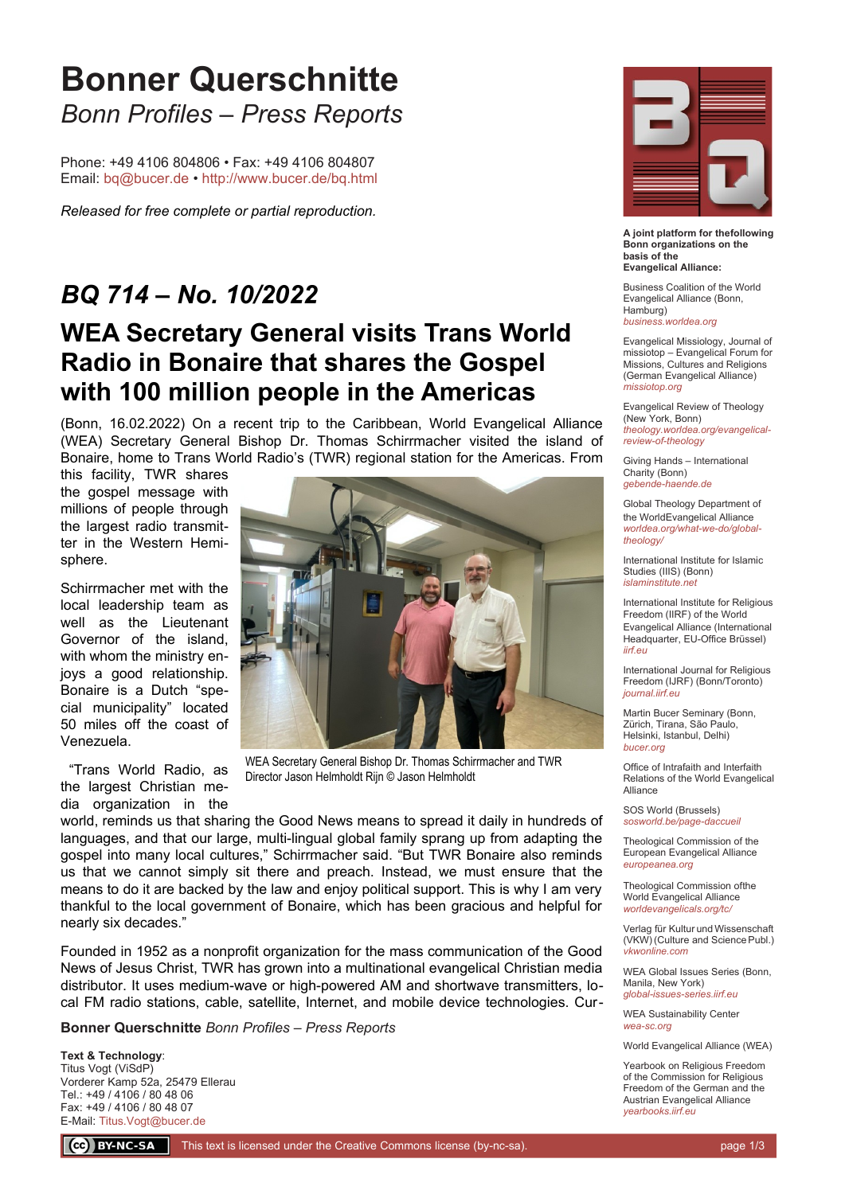# **Bonner Querschnitte** *Bonn Profiles – Press Reports*

Phone: +49 4106 804806 • Fax: +49 4106 804807 Email: [bq@bucer.de](mailto:bq@bucer.de?subject=Frage%20zu%20Bonner%20Querschnitte) •<http://www.bucer.de/bq.html>

*Released for free complete or partial reproduction.*

### *BQ 714 – No. 10/2022*

## **WEA Secretary General visits Trans World Radio in Bonaire that shares the Gospel with 100 million people in the Americas**

(Bonn, 16.02.2022) On a recent trip to the Caribbean, World Evangelical Alliance (WEA) Secretary General Bishop Dr. Thomas Schirrmacher visited the island of Bonaire, home to Trans World Radio's (TWR) regional station for the Americas. From

this facility, TWR shares the gospel message with millions of people through the largest radio transmitter in the Western Hemisphere.

Schirrmacher met with the local leadership team as well as the Lieutenant Governor of the island, with whom the ministry enjoys a good relationship. Bonaire is a Dutch "special municipality" located 50 miles off the coast of Venezuela.

 "Trans World Radio, as the largest Christian media organization in the



WEA Secretary General Bishop Dr. Thomas Schirrmacher and TWR Director Jason Helmholdt Rijn © Jason Helmholdt

world, reminds us that sharing the Good News means to spread it daily in hundreds of languages, and that our large, multi-lingual global family sprang up from adapting the gospel into many local cultures," Schirrmacher said. "But TWR Bonaire also reminds us that we cannot simply sit there and preach. Instead, we must ensure that the means to do it are backed by the law and enjoy political support. This is why I am very thankful to the local government of Bonaire, which has been gracious and helpful for nearly six decades."

Founded in 1952 as a nonprofit organization for the mass communication of the Good News of Jesus Christ, TWR has grown into a multinational evangelical Christian media distributor. It uses medium-wave or high-powered AM and shortwave transmitters, local FM radio stations, cable, satellite, Internet, and mobile device technologies. Cur-

**Bonner Querschnitte** *Bonn Profiles – Press Reports*

**Text & Technology**: Titus Vogt (ViSdP) Vorderer Kamp 52a, 25479 Ellerau Tel.: +49 / 4106 / 80 48 06 Fax: +49 / 4106 / 80 48 07 E-Mail: [Titus.Vogt@bucer.de](mailto:Titus.Vogt@bucer.de)



**A joint platform for thefollowing Bonn organizations on the basis of the Evangelical Alliance:**

Business Coalition of the World Evangelical Alliance (Bonn, Hamburg) *[business.worldea.org](https://business.worldea.org/)*

Evangelical Missiology, Journal of missiotop – Evangelical Forum for Missions, Cultures and Religions (German Evangelical Alliance) *[missiotop.org](http://www.missiotop.org/)*

Evangelical Review of Theology (New York, Bonn) *[theology.worldea.org/evangelical](https://theology.worldea.org/evangelical-review-of-theology/)[review-of-theology](https://theology.worldea.org/evangelical-review-of-theology/)*

Giving Hands – International Charity (Bonn) *[gebende-haende.de](http://www.gebende-haende.de/)*

Global Theology Department of the WorldEvangelical Alliance *[worldea.org/what-we-do/global](https://worldea.org/what-we-do/global-theology/)[theology/](https://worldea.org/what-we-do/global-theology/)*

International Institute for Islamic Studies (IIIS) (Bonn) *[islaminstitute.net](http://www.islaminstitute.net/)*

International Institute for Religious Freedom (IIRF) of the World Evangelical Alliance (International Headquarter, EU-Office Brüssel) *[iirf.eu](http://www.iirf.eu/)*

International Journal for Religious Freedom (IJRF) (Bonn/Toronto) *[journal.iirf.eu](http://journal.iirf.eu/)*

Martin Bucer Seminary (Bonn, Zürich, Tirana, São Paulo, Helsinki, Istanbul, Delhi) *[bucer.org](http://www.bucer.org/)*

Office of Intrafaith and Interfaith Relations of the World Evangelical Alliance

SOS World (Brussels) *[sosworld.be/page-daccueil](http://www.sosworld.be/page-daccueil/)*

Theological Commission of the European Evangelical Alliance *[europeanea.org](http://www.europeanea.org/)*

Theological Commission ofthe World Evangelical Alliance *[worldevangelicals.org/tc/](http://www.worldevangelicals.org/tc/)*

Verlag für Kultur und Wissenschaft (VKW) (Culture and Science Publ.) *[vkwonline.com](http://www.vkwonline.com/)*

WEA Global Issues Series (Bonn, Manila, New York) *[global-issues-series.iirf.eu](https://iirf.eu/journal-books/global-issues-series/)*

WEA Sustainability Center *[wea-sc.org](http://www.wea-sc.org/)*

World Evangelical Alliance (WEA)

Yearbook on Religious Freedom of the Commission for Religious Freedom of the German and the Austrian Evangelical Alliance *[yearbooks.iirf.eu](http://yearbooks.iirf.eu/)*

CC BY-NC-SA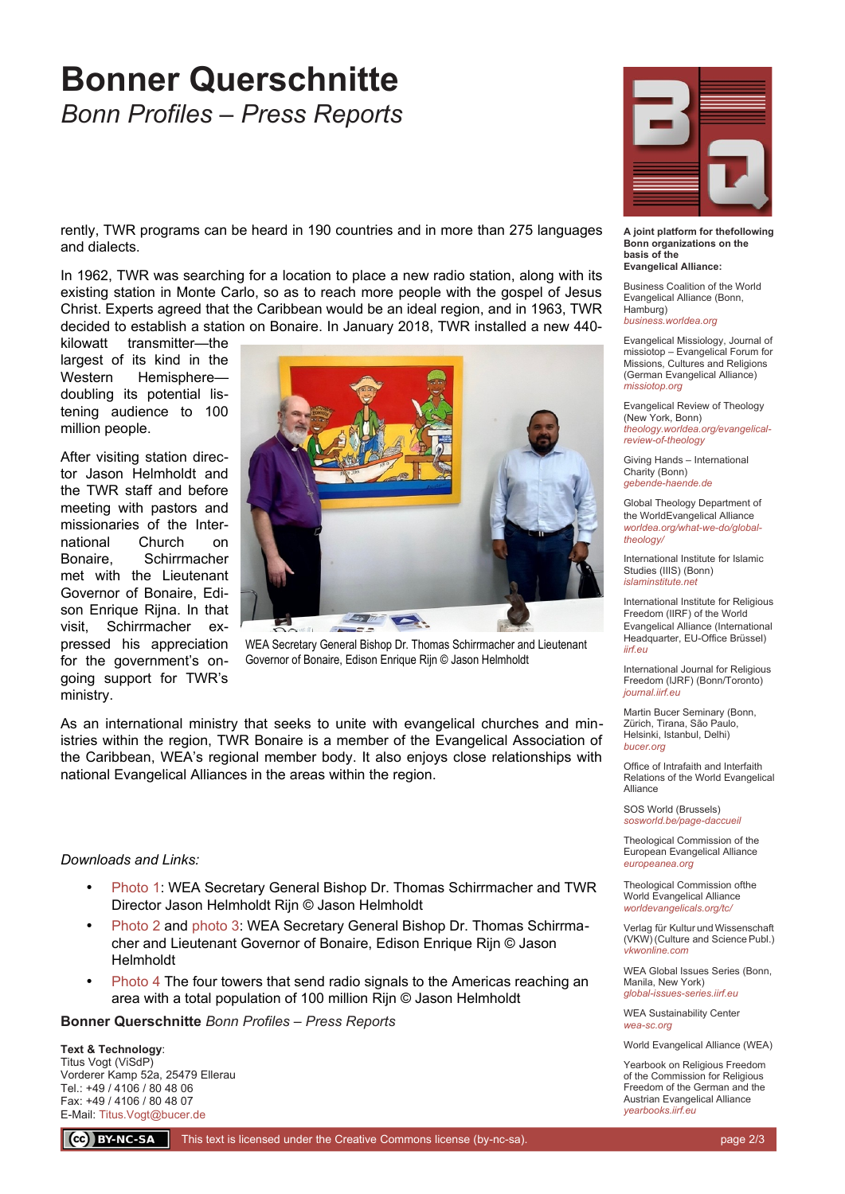## **Bonner Querschnitte** *Bonn Profiles – Press Reports*

rently, TWR programs can be heard in 190 countries and in more than 275 languages and dialects.

In 1962, TWR was searching for a location to place a new radio station, along with its existing station in Monte Carlo, so as to reach more people with the gospel of Jesus Christ. Experts agreed that the Caribbean would be an ideal region, and in 1963, TWR decided to establish a station on Bonaire. In January 2018, TWR installed a new 440-

kilowatt transmitter—the largest of its kind in the Western Hemisphere doubling its potential listening audience to 100 million people.

After visiting station director Jason Helmholdt and the TWR staff and before meeting with pastors and missionaries of the International Church on Bonaire, Schirrmacher met with the Lieutenant Governor of Bonaire, Edison Enrique Riina. In that visit, Schirrmacher expressed his appreciation for the government's ongoing support for TWR's ministry.



WEA Secretary General Bishop Dr. Thomas Schirrmacher and Lieutenant Governor of Bonaire, Edison Enrique Rijn © Jason Helmholdt

As an international ministry that seeks to unite with evangelical churches and ministries within the region, TWR Bonaire is a member of the Evangelical Association of the Caribbean, WEA's regional member body. It also enjoys close relationships with national Evangelical Alliances in the areas within the region.

#### *Downloads and Links:*

- [Photo 1](https://bucer.org/fileadmin/dateien/Dokumente/BQs/BQ700ff/BQ714/BQ0714_1.jpg): WEA Secretary General Bishop Dr. Thomas Schirrmacher and TWR Director Jason Helmholdt Rijn © Jason Helmholdt
- [Photo 2](https://bucer.org/fileadmin/dateien/Dokumente/BQs/BQ700ff/BQ714/BQ0714_2.jpg) and [photo 3:](https://bucer.org/fileadmin/dateien/Dokumente/BQs/BQ700ff/BQ714/BQ0714_3.jpg) WEA Secretary General Bishop Dr. Thomas Schirrmacher and Lieutenant Governor of Bonaire, Edison Enrique Rijn © Jason Helmholdt
- [Photo 4](https://bucer.org/fileadmin/dateien/Dokumente/BQs/BQ700ff/BQ714/BQ0714_4.jpg) The four towers that send radio signals to the Americas reaching an area with a total population of 100 million Rijn © Jason Helmholdt

**Bonner Querschnitte** *Bonn Profiles – Press Reports*

**Text & Technology**: Titus Vogt (ViSdP) Vorderer Kamp 52a, 25479 Ellerau Tel.: +49 / 4106 / 80 48 06 Fax: +49 / 4106 / 80 48 07 E-Mail: [Titus.Vogt@bucer.de](mailto:Titus.Vogt@bucer.de)

**A joint platform for thefollowing Bonn organizations on the basis of the Evangelical Alliance:**

Business Coalition of the World Evangelical Alliance (Bonn, Hamburg) *[business.worldea.org](https://business.worldea.org/)*

Evangelical Missiology, Journal of missiotop – Evangelical Forum for Missions, Cultures and Religions (German Evangelical Alliance) *[missiotop.org](http://www.missiotop.org/)*

Evangelical Review of Theology (New York, Bonn) *[theology.worldea.org/evangelical](https://theology.worldea.org/evangelical-review-of-theology/)[review-of-theology](https://theology.worldea.org/evangelical-review-of-theology/)*

Giving Hands – International Charity (Bonn) *[gebende-haende.de](http://www.gebende-haende.de/)*

Global Theology Department of the WorldEvangelical Alliance *[worldea.org/what-we-do/global](https://worldea.org/what-we-do/global-theology/)[theology/](https://worldea.org/what-we-do/global-theology/)*

International Institute for Islamic Studies (IIIS) (Bonn) *[islaminstitute.net](http://www.islaminstitute.net/)*

International Institute for Religious Freedom (IIRF) of the World Evangelical Alliance (International Headquarter, EU-Office Brüssel) *[iirf.eu](http://www.iirf.eu/)*

International Journal for Religious Freedom (IJRF) (Bonn/Toronto) *[journal.iirf.eu](http://journal.iirf.eu/)*

Martin Bucer Seminary (Bonn, Zürich, Tirana, São Paulo, Helsinki, Istanbul, Delhi) *[bucer.org](http://www.bucer.org/)*

Office of Intrafaith and Interfaith Relations of the World Evangelical Alliance

SOS World (Brussels) *[sosworld.be/page-daccueil](http://www.sosworld.be/page-daccueil/)*

Theological Commission of the European Evangelical Alliance *[europeanea.org](http://www.europeanea.org/)*

Theological Commission ofthe World Evangelical Alliance *[worldevangelicals.org/tc/](http://www.worldevangelicals.org/tc/)*

Verlag für Kultur und Wissenschaft (VKW) (Culture and Science Publ.) *[vkwonline.com](http://www.vkwonline.com/)*

WEA Global Issues Series (Bonn, Manila, New York) *[global-issues-series.iirf.eu](https://iirf.eu/journal-books/global-issues-series/)*

WEA Sustainability Center *[wea-sc.org](http://www.wea-sc.org/)*

World Evangelical Alliance (WEA)

Yearbook on Religious Freedom of the Commission for Religious Freedom of the German and the Austrian Evangelical Alliance *[yearbooks.iirf.eu](http://yearbooks.iirf.eu/)*